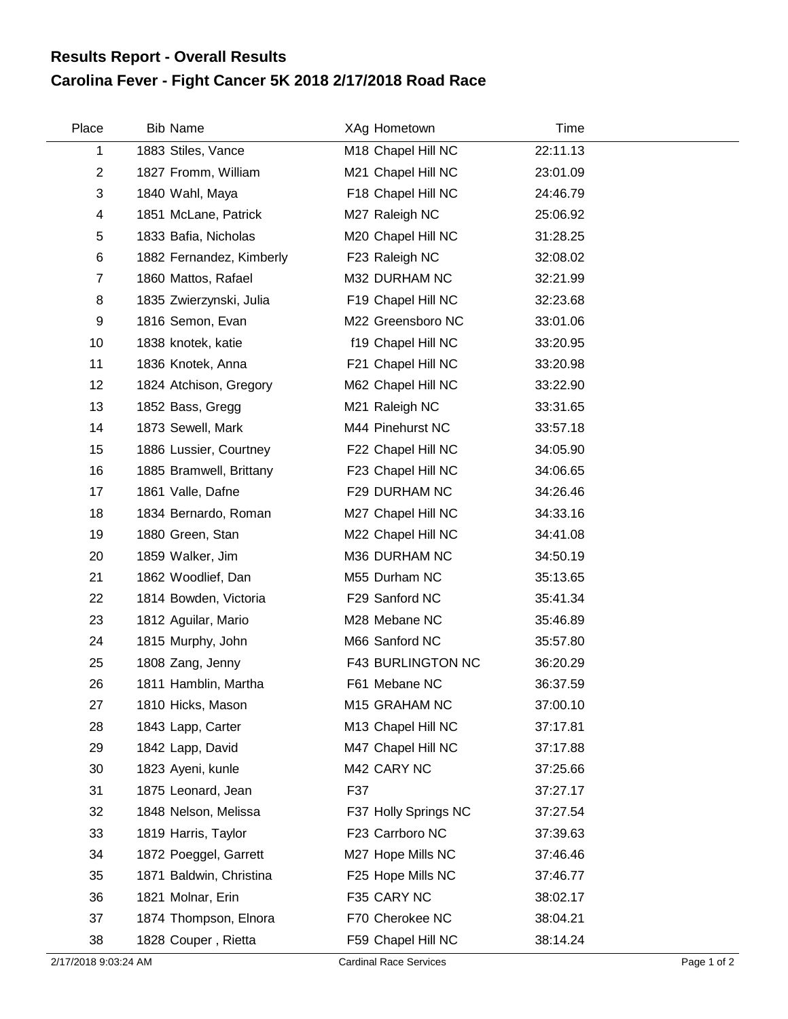## **Carolina Fever - Fight Cancer 5K 2018 2/17/2018 Road Race Results Report - Overall Results**

| Place          | <b>Bib Name</b>          | XAg Hometown         | Time     |
|----------------|--------------------------|----------------------|----------|
| 1              | 1883 Stiles, Vance       | M18 Chapel Hill NC   | 22:11.13 |
| $\overline{2}$ | 1827 Fromm, William      | M21 Chapel Hill NC   | 23:01.09 |
| 3              | 1840 Wahl, Maya          | F18 Chapel Hill NC   | 24:46.79 |
| 4              | 1851 McLane, Patrick     | M27 Raleigh NC       | 25:06.92 |
| 5              | 1833 Bafia, Nicholas     | M20 Chapel Hill NC   | 31:28.25 |
| 6              | 1882 Fernandez, Kimberly | F23 Raleigh NC       | 32:08.02 |
| $\overline{7}$ | 1860 Mattos, Rafael      | M32 DURHAM NC        | 32:21.99 |
| 8              | 1835 Zwierzynski, Julia  | F19 Chapel Hill NC   | 32:23.68 |
| 9              | 1816 Semon, Evan         | M22 Greensboro NC    | 33:01.06 |
| 10             | 1838 knotek, katie       | f19 Chapel Hill NC   | 33:20.95 |
| 11             | 1836 Knotek, Anna        | F21 Chapel Hill NC   | 33:20.98 |
| 12             | 1824 Atchison, Gregory   | M62 Chapel Hill NC   | 33:22.90 |
| 13             | 1852 Bass, Gregg         | M21 Raleigh NC       | 33:31.65 |
| 14             | 1873 Sewell, Mark        | M44 Pinehurst NC     | 33:57.18 |
| 15             | 1886 Lussier, Courtney   | F22 Chapel Hill NC   | 34:05.90 |
| 16             | 1885 Bramwell, Brittany  | F23 Chapel Hill NC   | 34:06.65 |
| 17             | 1861 Valle, Dafne        | F29 DURHAM NC        | 34:26.46 |
| 18             | 1834 Bernardo, Roman     | M27 Chapel Hill NC   | 34:33.16 |
| 19             | 1880 Green, Stan         | M22 Chapel Hill NC   | 34:41.08 |
| 20             | 1859 Walker, Jim         | M36 DURHAM NC        | 34:50.19 |
| 21             | 1862 Woodlief, Dan       | M55 Durham NC        | 35:13.65 |
| 22             | 1814 Bowden, Victoria    | F29 Sanford NC       | 35:41.34 |
| 23             | 1812 Aguilar, Mario      | M28 Mebane NC        | 35:46.89 |
| 24             | 1815 Murphy, John        | M66 Sanford NC       | 35:57.80 |
| 25             | 1808 Zang, Jenny         | F43 BURLINGTON NC    | 36:20.29 |
| 26             | 1811 Hamblin, Martha     | F61 Mebane NC        | 36:37.59 |
| 27             | 1810 Hicks, Mason        | M15 GRAHAM NC        | 37:00.10 |
| 28             | 1843 Lapp, Carter        | M13 Chapel Hill NC   | 37:17.81 |
| 29             | 1842 Lapp, David         | M47 Chapel Hill NC   | 37:17.88 |
| 30             | 1823 Ayeni, kunle        | M42 CARY NC          | 37:25.66 |
| 31             | 1875 Leonard, Jean       | F37                  | 37:27.17 |
| 32             | 1848 Nelson, Melissa     | F37 Holly Springs NC | 37:27.54 |
| 33             | 1819 Harris, Taylor      | F23 Carrboro NC      | 37:39.63 |
| 34             | 1872 Poeggel, Garrett    | M27 Hope Mills NC    | 37:46.46 |
| 35             | 1871 Baldwin, Christina  | F25 Hope Mills NC    | 37:46.77 |
| 36             | 1821 Molnar, Erin        | F35 CARY NC          | 38:02.17 |
| 37             | 1874 Thompson, Elnora    | F70 Cherokee NC      | 38:04.21 |
| 38             | 1828 Couper, Rietta      | F59 Chapel Hill NC   | 38:14.24 |